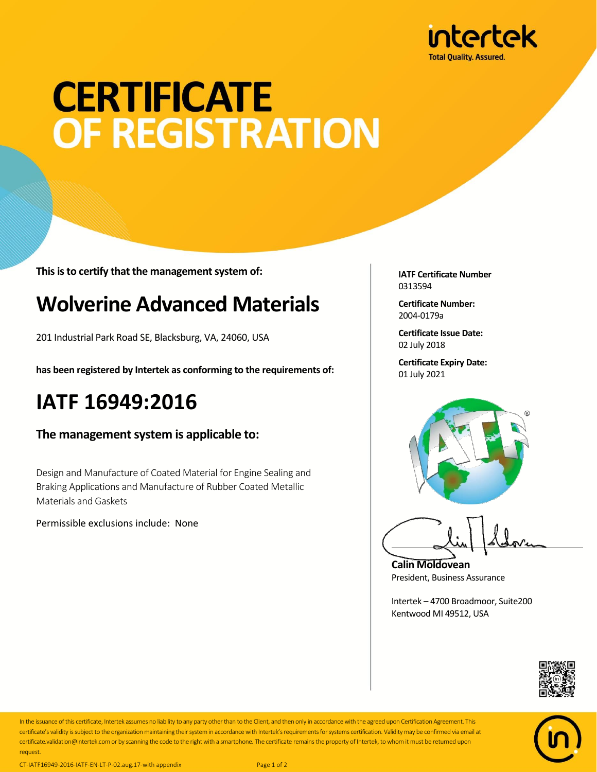

# **CERTIFICATE** OF REGISTRATION

**This is to certify that the management system of:**

## **Wolverine Advanced Materials**

201 Industrial Park Road SE, Blacksburg, VA, 24060, USA

**has been registered by Intertek as conforming to the requirements of:**

### **IATF 16949:2016**

#### **The management system is applicable to:**

Design and Manufacture of Coated Material for Engine Sealing and Braking Applications and Manufacture of Rubber Coated Metallic Materials and Gaskets

Permissible exclusions include: None

**IATF Certificate Number** 0313594

**Certificate Number:** 2004-0179a

**Certificate Issue Date:** 02 July 2018

**Certificate Expiry Date:** 01 July 2021



**Calin Moldovean** President, Business Assurance

Intertek – 4700 Broadmoor, Suite200 Kentwood MI 49512, USA





In the issuance of this certificate, Intertek assumes no liability to any party other than to the Client, and then only in accordance with the agreed upon Certification Agreement. This certificate's validity is subject to the organization maintaining their system in accordance with Intertek's requirements for systems certification. Validity may be confirmed via email at certificate.validation@intertek.com or by scanning the code to the right with a smartphone. The certificate remains the property of Intertek, to whom it must be returned upon request.